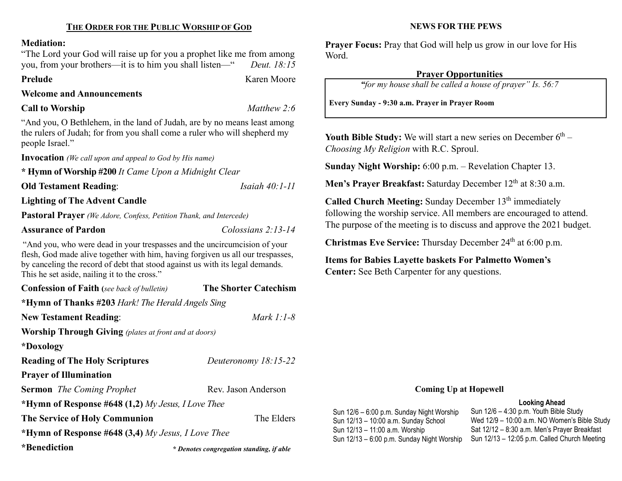# THE ORDER FOR THE PUBLIC WORSHIP OF GOD

#### Mediation:

"The Lord your God will raise up for you a prophet like me from among you, from your brothers—it is to him you shall listen—" Deut. 18:15

Prelude Karen Moore

#### Welcome and Announcements

## Call to Worship Matthew 2:6

"And you, O Bethlehem, in the land of Judah, are by no means least among the rulers of Judah; for from you shall come a ruler who will shepherd my people Israel."

Invocation (We call upon and appeal to God by His name)

\* Hymn of Worship #200 It Came Upon a Midnight Clear

Old Testament Reading: *Isaiah 40:1-11* 

Lighting of The Advent Candle

Pastoral Prayer (We Adore, Confess, Petition Thank, and Intercede)

### Assurance of Pardon Colossians 2:13-14

"And you, who were dead in your trespasses and the uncircumcision of your flesh, God made alive together with him, having forgiven us all our trespasses, by canceling the record of debt that stood against us with its legal demands. This he set aside, nailing it to the cross."

| <b>Confession of Faith</b> (see back of bulletin)            | <b>The Shorter Catechism</b>             |  |  |  |
|--------------------------------------------------------------|------------------------------------------|--|--|--|
| *Hymn of Thanks #203 Hark! The Herald Angels Sing            |                                          |  |  |  |
| <b>New Testament Reading:</b>                                | Mark $1:1-8$                             |  |  |  |
| <b>Worship Through Giving</b> (plates at front and at doors) |                                          |  |  |  |
| *Doxology                                                    |                                          |  |  |  |
| <b>Reading of The Holy Scriptures</b>                        | Deuteronomy 18:15-22                     |  |  |  |
| <b>Prayer of Illumination</b>                                |                                          |  |  |  |
| <b>Sermon</b> The Coming Prophet                             | Rev. Jason Anderson                      |  |  |  |
| *Hymn of Response #648 $(1,2)$ My Jesus, I Love Thee         |                                          |  |  |  |
| <b>The Service of Holy Communion</b>                         | The Elders                               |  |  |  |
| *Hymn of Response #648 $(3,4)$ My Jesus, I Love Thee         |                                          |  |  |  |
| *Benediction                                                 | * Denotes congregation standing, if able |  |  |  |

#### NEWS FOR THE PEWS

Prayer Focus: Pray that God will help us grow in our love for His Word.

#### Prayer Opportunities

"for my house shall be called a house of prayer" Is. 56:7

Every Sunday - 9:30 a.m. Prayer in Prayer Room

Youth Bible Study: We will start a new series on December  $6<sup>th</sup>$  – Choosing My Religion with R.C. Sproul.

Sunday Night Worship: 6:00 p.m. – Revelation Chapter 13.

Men's Prayer Breakfast: Saturday December 12<sup>th</sup> at 8:30 a.m.

Called Church Meeting: Sunday December 13<sup>th</sup> immediately following the worship service. All members are encouraged to attend. The purpose of the meeting is to discuss and approve the 2021 budget.

**Christmas Eve Service:** Thursday December  $24<sup>th</sup>$  at 6:00 p.m.

Items for Babies Layette baskets For Palmetto Women's Center: See Beth Carpenter for any questions.

#### Coming Up at Hopewell

#### Looking Ahead

Sun 12/6 – 6:00 p.m. Sunday Night Worship Sun 12/13 – 10:00 a.m. Sunday School Sun 12/13 – 11:00 a.m. Worship Sun 12/13 – 6:00 p.m. Sunday Night Worship Sun 12/6 – 4:30 p.m. Youth Bible Study Wed 12/9 – 10:00 a.m. NO Women's Bible Study Sat 12/12 – 8:30 a.m. Men's Prayer Breakfast Sun 12/13 – 12:05 p.m. Called Church Meeting